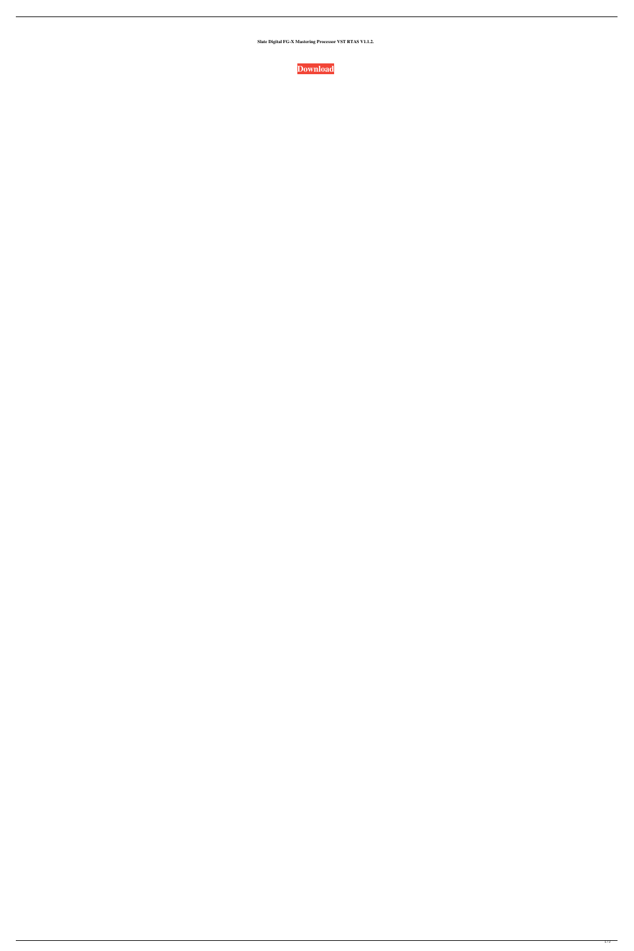**Slate Digital FG-X Mastering Processor VST RTAS V1.1.2.**